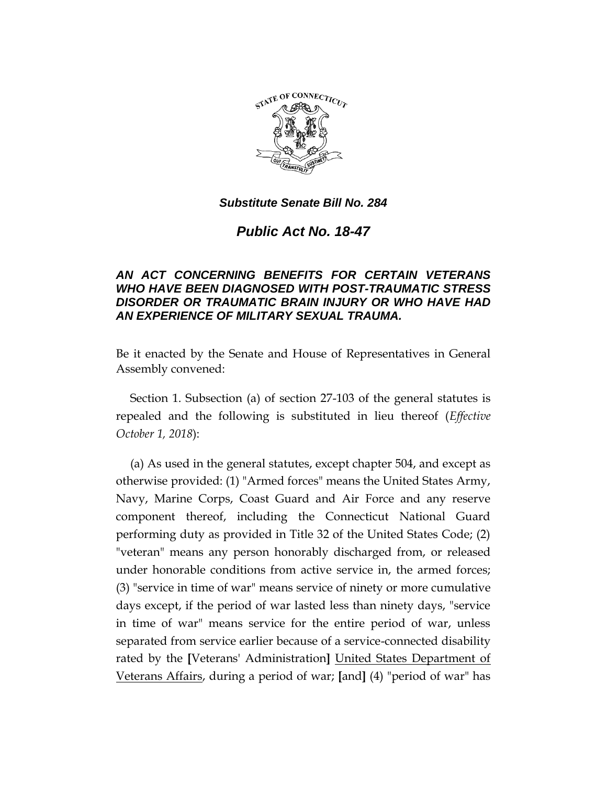

*Public Act No. 18-47*

# *AN ACT CONCERNING BENEFITS FOR CERTAIN VETERANS WHO HAVE BEEN DIAGNOSED WITH POST-TRAUMATIC STRESS DISORDER OR TRAUMATIC BRAIN INJURY OR WHO HAVE HAD AN EXPERIENCE OF MILITARY SEXUAL TRAUMA.*

Be it enacted by the Senate and House of Representatives in General Assembly convened:

Section 1. Subsection (a) of section 27-103 of the general statutes is repealed and the following is substituted in lieu thereof (*Effective October 1, 2018*):

(a) As used in the general statutes, except chapter 504, and except as otherwise provided: (1) "Armed forces" means the United States Army, Navy, Marine Corps, Coast Guard and Air Force and any reserve component thereof, including the Connecticut National Guard performing duty as provided in Title 32 of the United States Code; (2) "veteran" means any person honorably discharged from, or released under honorable conditions from active service in, the armed forces; (3) "service in time of war" means service of ninety or more cumulative days except, if the period of war lasted less than ninety days, "service in time of war" means service for the entire period of war, unless separated from service earlier because of a service-connected disability rated by the **[**Veterans' Administration**]** United States Department of Veterans Affairs, during a period of war; **[**and**]** (4) "period of war" has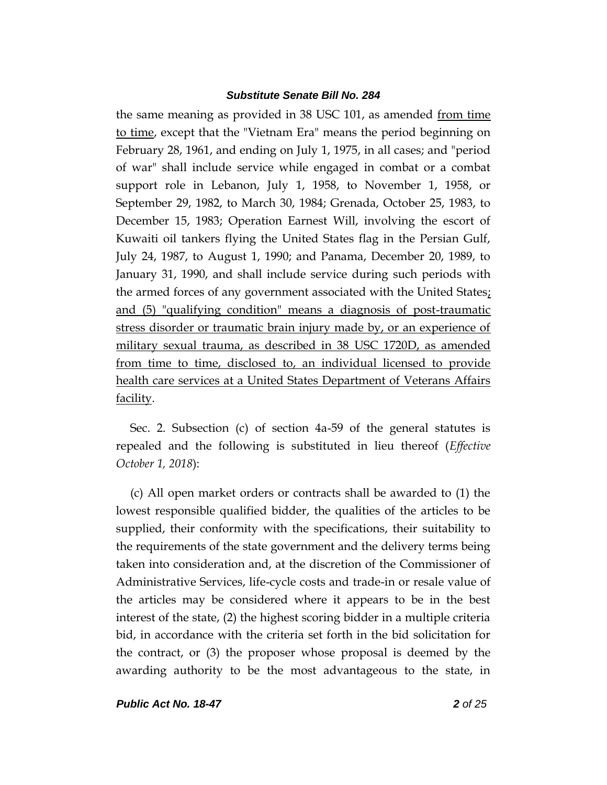the same meaning as provided in 38 USC 101, as amended from time to time, except that the "Vietnam Era" means the period beginning on February 28, 1961, and ending on July 1, 1975, in all cases; and "period of war" shall include service while engaged in combat or a combat support role in Lebanon, July 1, 1958, to November 1, 1958, or September 29, 1982, to March 30, 1984; Grenada, October 25, 1983, to December 15, 1983; Operation Earnest Will, involving the escort of Kuwaiti oil tankers flying the United States flag in the Persian Gulf, July 24, 1987, to August 1, 1990; and Panama, December 20, 1989, to January 31, 1990, and shall include service during such periods with the armed forces of any government associated with the United States; and (5) "qualifying condition" means a diagnosis of post-traumatic stress disorder or traumatic brain injury made by, or an experience of military sexual trauma, as described in 38 USC 1720D, as amended from time to time, disclosed to, an individual licensed to provide health care services at a United States Department of Veterans Affairs facility.

Sec. 2. Subsection (c) of section 4a-59 of the general statutes is repealed and the following is substituted in lieu thereof (*Effective October 1, 2018*):

(c) All open market orders or contracts shall be awarded to (1) the lowest responsible qualified bidder, the qualities of the articles to be supplied, their conformity with the specifications, their suitability to the requirements of the state government and the delivery terms being taken into consideration and, at the discretion of the Commissioner of Administrative Services, life-cycle costs and trade-in or resale value of the articles may be considered where it appears to be in the best interest of the state, (2) the highest scoring bidder in a multiple criteria bid, in accordance with the criteria set forth in the bid solicitation for the contract, or (3) the proposer whose proposal is deemed by the awarding authority to be the most advantageous to the state, in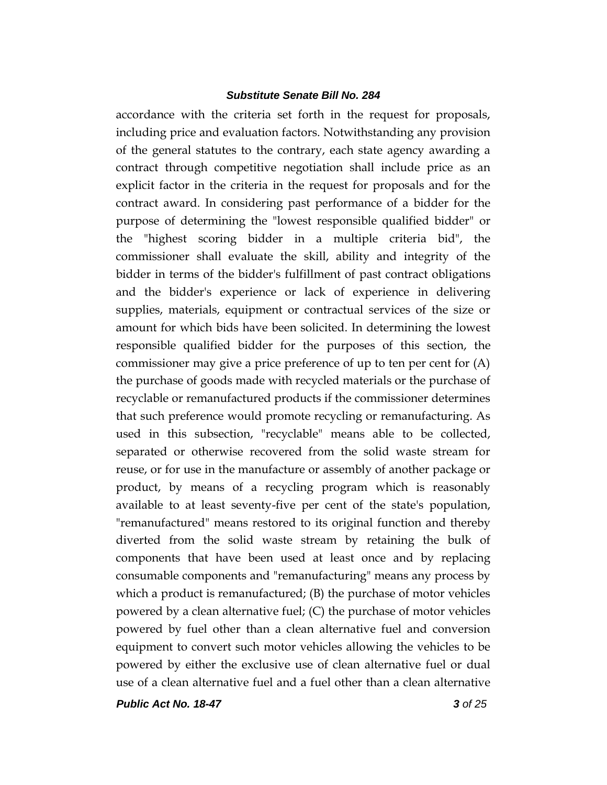accordance with the criteria set forth in the request for proposals, including price and evaluation factors. Notwithstanding any provision of the general statutes to the contrary, each state agency awarding a contract through competitive negotiation shall include price as an explicit factor in the criteria in the request for proposals and for the contract award. In considering past performance of a bidder for the purpose of determining the "lowest responsible qualified bidder" or the "highest scoring bidder in a multiple criteria bid", the commissioner shall evaluate the skill, ability and integrity of the bidder in terms of the bidder's fulfillment of past contract obligations and the bidder's experience or lack of experience in delivering supplies, materials, equipment or contractual services of the size or amount for which bids have been solicited. In determining the lowest responsible qualified bidder for the purposes of this section, the commissioner may give a price preference of up to ten per cent for (A) the purchase of goods made with recycled materials or the purchase of recyclable or remanufactured products if the commissioner determines that such preference would promote recycling or remanufacturing. As used in this subsection, "recyclable" means able to be collected, separated or otherwise recovered from the solid waste stream for reuse, or for use in the manufacture or assembly of another package or product, by means of a recycling program which is reasonably available to at least seventy-five per cent of the state's population, "remanufactured" means restored to its original function and thereby diverted from the solid waste stream by retaining the bulk of components that have been used at least once and by replacing consumable components and "remanufacturing" means any process by which a product is remanufactured; (B) the purchase of motor vehicles powered by a clean alternative fuel; (C) the purchase of motor vehicles powered by fuel other than a clean alternative fuel and conversion equipment to convert such motor vehicles allowing the vehicles to be powered by either the exclusive use of clean alternative fuel or dual use of a clean alternative fuel and a fuel other than a clean alternative

*Public Act No. 18-47 3 of 25*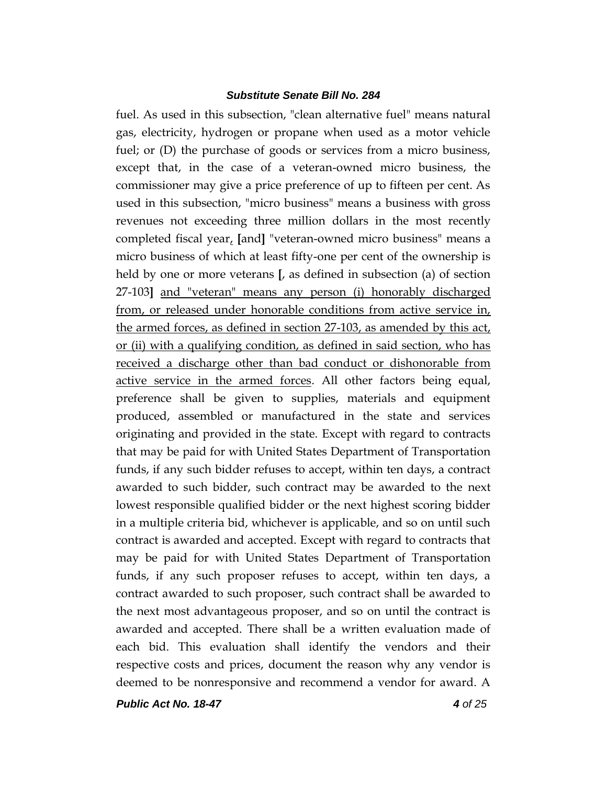fuel. As used in this subsection, "clean alternative fuel" means natural gas, electricity, hydrogen or propane when used as a motor vehicle fuel; or (D) the purchase of goods or services from a micro business, except that, in the case of a veteran-owned micro business, the commissioner may give a price preference of up to fifteen per cent. As used in this subsection, "micro business" means a business with gross revenues not exceeding three million dollars in the most recently completed fiscal year, **[**and**]** "veteran-owned micro business" means a micro business of which at least fifty-one per cent of the ownership is held by one or more veterans **[**, as defined in subsection (a) of section 27-103**]** and "veteran" means any person (i) honorably discharged from, or released under honorable conditions from active service in, the armed forces, as defined in section 27-103, as amended by this act, or (ii) with a qualifying condition, as defined in said section, who has received a discharge other than bad conduct or dishonorable from active service in the armed forces. All other factors being equal, preference shall be given to supplies, materials and equipment produced, assembled or manufactured in the state and services originating and provided in the state. Except with regard to contracts that may be paid for with United States Department of Transportation funds, if any such bidder refuses to accept, within ten days, a contract awarded to such bidder, such contract may be awarded to the next lowest responsible qualified bidder or the next highest scoring bidder in a multiple criteria bid, whichever is applicable, and so on until such contract is awarded and accepted. Except with regard to contracts that may be paid for with United States Department of Transportation funds, if any such proposer refuses to accept, within ten days, a contract awarded to such proposer, such contract shall be awarded to the next most advantageous proposer, and so on until the contract is awarded and accepted. There shall be a written evaluation made of each bid. This evaluation shall identify the vendors and their respective costs and prices, document the reason why any vendor is deemed to be nonresponsive and recommend a vendor for award. A

*Public Act No. 18-47 4 of 25*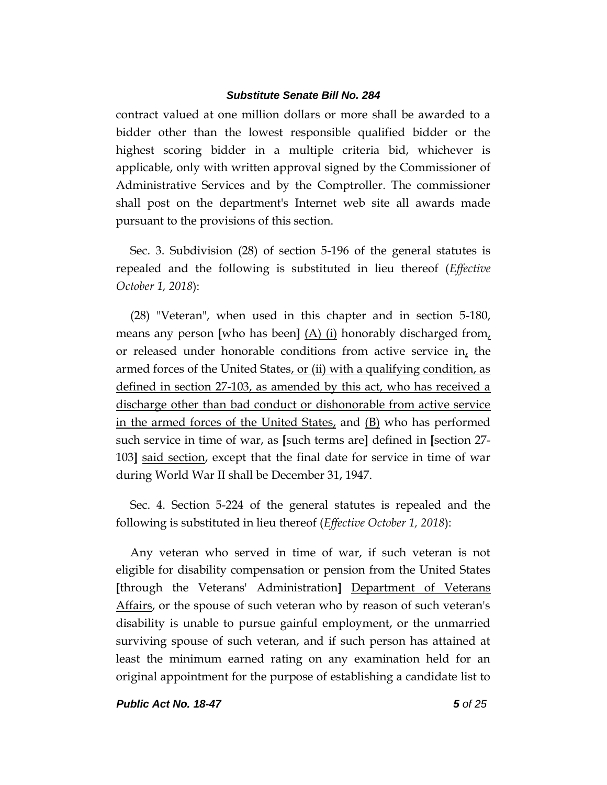contract valued at one million dollars or more shall be awarded to a bidder other than the lowest responsible qualified bidder or the highest scoring bidder in a multiple criteria bid, whichever is applicable, only with written approval signed by the Commissioner of Administrative Services and by the Comptroller. The commissioner shall post on the department's Internet web site all awards made pursuant to the provisions of this section.

Sec. 3. Subdivision (28) of section 5-196 of the general statutes is repealed and the following is substituted in lieu thereof (*Effective October 1, 2018*):

(28) "Veteran", when used in this chapter and in section 5-180, means any person **[**who has been**]** (A) (i) honorably discharged from, or released under honorable conditions from active service in, the armed forces of the United States, or (ii) with a qualifying condition, as defined in section 27-103, as amended by this act, who has received a discharge other than bad conduct or dishonorable from active service in the armed forces of the United States, and (B) who has performed such service in time of war, as **[**such terms are**]** defined in **[**section 27- 103**]** said section, except that the final date for service in time of war during World War II shall be December 31, 1947.

Sec. 4. Section 5-224 of the general statutes is repealed and the following is substituted in lieu thereof (*Effective October 1, 2018*):

Any veteran who served in time of war, if such veteran is not eligible for disability compensation or pension from the United States **[**through the Veterans' Administration**]** Department of Veterans Affairs, or the spouse of such veteran who by reason of such veteran's disability is unable to pursue gainful employment, or the unmarried surviving spouse of such veteran, and if such person has attained at least the minimum earned rating on any examination held for an original appointment for the purpose of establishing a candidate list to

*Public Act No. 18-47 5 of 25*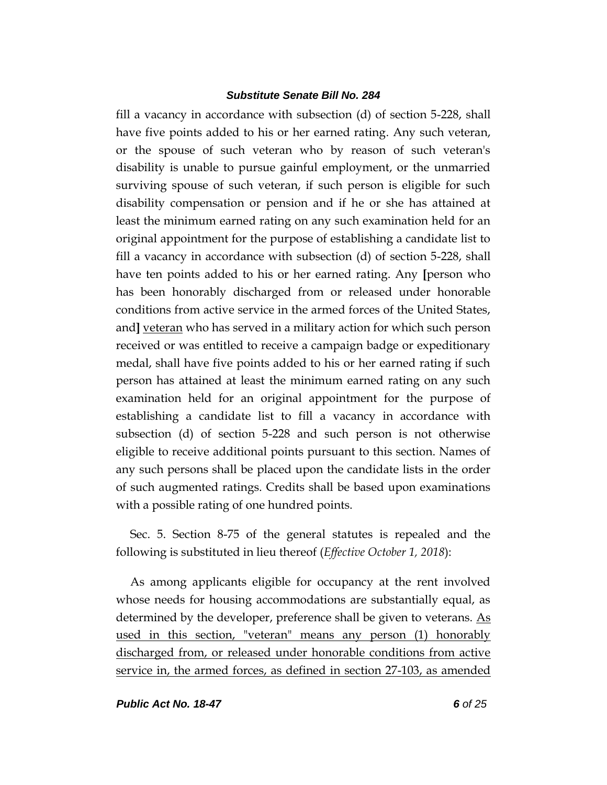fill a vacancy in accordance with subsection (d) of section 5-228, shall have five points added to his or her earned rating. Any such veteran, or the spouse of such veteran who by reason of such veteran's disability is unable to pursue gainful employment, or the unmarried surviving spouse of such veteran, if such person is eligible for such disability compensation or pension and if he or she has attained at least the minimum earned rating on any such examination held for an original appointment for the purpose of establishing a candidate list to fill a vacancy in accordance with subsection (d) of section 5-228, shall have ten points added to his or her earned rating. Any **[**person who has been honorably discharged from or released under honorable conditions from active service in the armed forces of the United States, and] veteran who has served in a military action for which such person received or was entitled to receive a campaign badge or expeditionary medal, shall have five points added to his or her earned rating if such person has attained at least the minimum earned rating on any such examination held for an original appointment for the purpose of establishing a candidate list to fill a vacancy in accordance with subsection (d) of section 5-228 and such person is not otherwise eligible to receive additional points pursuant to this section. Names of any such persons shall be placed upon the candidate lists in the order of such augmented ratings. Credits shall be based upon examinations with a possible rating of one hundred points.

Sec. 5. Section 8-75 of the general statutes is repealed and the following is substituted in lieu thereof (*Effective October 1, 2018*):

As among applicants eligible for occupancy at the rent involved whose needs for housing accommodations are substantially equal, as determined by the developer, preference shall be given to veterans.  $\underline{As}$ used in this section, "veteran" means any person (1) honorably discharged from, or released under honorable conditions from active service in, the armed forces, as defined in section 27-103, as amended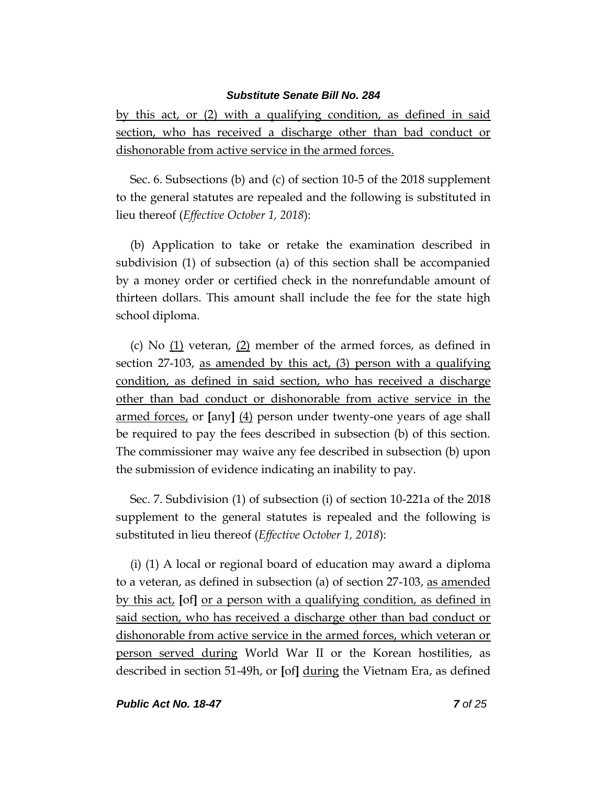by this act, or (2) with a qualifying condition, as defined in said section, who has received a discharge other than bad conduct or dishonorable from active service in the armed forces.

Sec. 6. Subsections (b) and (c) of section 10-5 of the 2018 supplement to the general statutes are repealed and the following is substituted in lieu thereof (*Effective October 1, 2018*):

(b) Application to take or retake the examination described in subdivision (1) of subsection (a) of this section shall be accompanied by a money order or certified check in the nonrefundable amount of thirteen dollars. This amount shall include the fee for the state high school diploma.

(c) No (1) veteran, (2) member of the armed forces, as defined in section 27-103, as amended by this act, (3) person with a qualifying condition, as defined in said section, who has received a discharge other than bad conduct or dishonorable from active service in the armed forces, or **[**any**]** (4) person under twenty-one years of age shall be required to pay the fees described in subsection (b) of this section. The commissioner may waive any fee described in subsection (b) upon the submission of evidence indicating an inability to pay.

Sec. 7. Subdivision (1) of subsection (i) of section 10-221a of the 2018 supplement to the general statutes is repealed and the following is substituted in lieu thereof (*Effective October 1, 2018*):

(i) (1) A local or regional board of education may award a diploma to a veteran, as defined in subsection (a) of section 27-103, as amended by this act, **[**of**]** or a person with a qualifying condition, as defined in said section, who has received a discharge other than bad conduct or dishonorable from active service in the armed forces, which veteran or person served during World War II or the Korean hostilities, as described in section 51-49h, or **[**of**]** during the Vietnam Era, as defined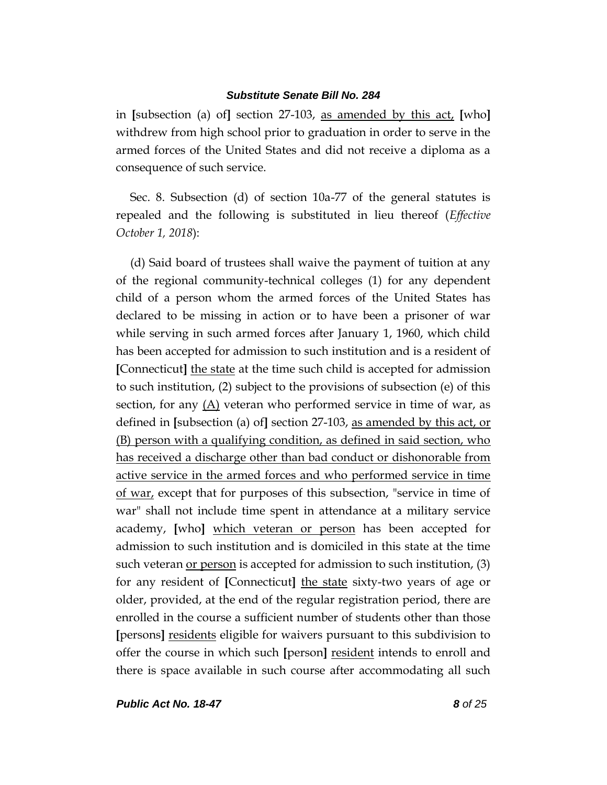in **[**subsection (a) of**]** section 27-103, as amended by this act, **[**who**]** withdrew from high school prior to graduation in order to serve in the armed forces of the United States and did not receive a diploma as a consequence of such service.

Sec. 8. Subsection (d) of section 10a-77 of the general statutes is repealed and the following is substituted in lieu thereof (*Effective October 1, 2018*):

(d) Said board of trustees shall waive the payment of tuition at any of the regional community-technical colleges (1) for any dependent child of a person whom the armed forces of the United States has declared to be missing in action or to have been a prisoner of war while serving in such armed forces after January 1, 1960, which child has been accepted for admission to such institution and is a resident of **[**Connecticut**]** the state at the time such child is accepted for admission to such institution, (2) subject to the provisions of subsection (e) of this section, for any (A) veteran who performed service in time of war, as defined in **[**subsection (a) of**]** section 27-103, as amended by this act, or (B) person with a qualifying condition, as defined in said section, who has received a discharge other than bad conduct or dishonorable from active service in the armed forces and who performed service in time of war, except that for purposes of this subsection, "service in time of war" shall not include time spent in attendance at a military service academy, **[**who**]** which veteran or person has been accepted for admission to such institution and is domiciled in this state at the time such veteran <u>or person</u> is accepted for admission to such institution, (3) for any resident of **[**Connecticut**]** the state sixty-two years of age or older, provided, at the end of the regular registration period, there are enrolled in the course a sufficient number of students other than those **[**persons**]** residents eligible for waivers pursuant to this subdivision to offer the course in which such **[**person**]** resident intends to enroll and there is space available in such course after accommodating all such

*Public Act No. 18-47 8 of 25*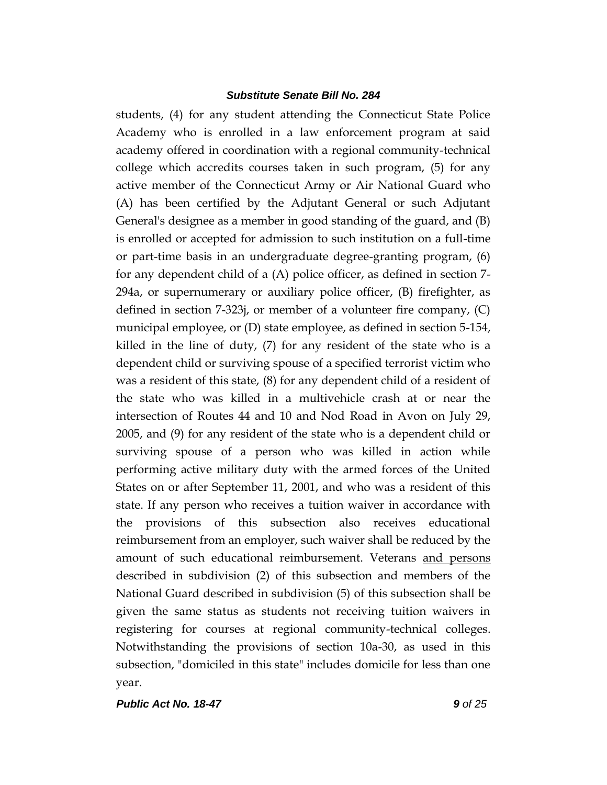students, (4) for any student attending the Connecticut State Police Academy who is enrolled in a law enforcement program at said academy offered in coordination with a regional community-technical college which accredits courses taken in such program, (5) for any active member of the Connecticut Army or Air National Guard who (A) has been certified by the Adjutant General or such Adjutant General's designee as a member in good standing of the guard, and (B) is enrolled or accepted for admission to such institution on a full-time or part-time basis in an undergraduate degree-granting program, (6) for any dependent child of a (A) police officer, as defined in section 7- 294a, or supernumerary or auxiliary police officer, (B) firefighter, as defined in section 7-323j, or member of a volunteer fire company, (C) municipal employee, or (D) state employee, as defined in section 5-154, killed in the line of duty, (7) for any resident of the state who is a dependent child or surviving spouse of a specified terrorist victim who was a resident of this state, (8) for any dependent child of a resident of the state who was killed in a multivehicle crash at or near the intersection of Routes 44 and 10 and Nod Road in Avon on July 29, 2005, and (9) for any resident of the state who is a dependent child or surviving spouse of a person who was killed in action while performing active military duty with the armed forces of the United States on or after September 11, 2001, and who was a resident of this state. If any person who receives a tuition waiver in accordance with the provisions of this subsection also receives educational reimbursement from an employer, such waiver shall be reduced by the amount of such educational reimbursement. Veterans and persons described in subdivision (2) of this subsection and members of the National Guard described in subdivision (5) of this subsection shall be given the same status as students not receiving tuition waivers in registering for courses at regional community-technical colleges. Notwithstanding the provisions of section 10a-30, as used in this subsection, "domiciled in this state" includes domicile for less than one year.

*Public Act No. 18-47 9 of 25*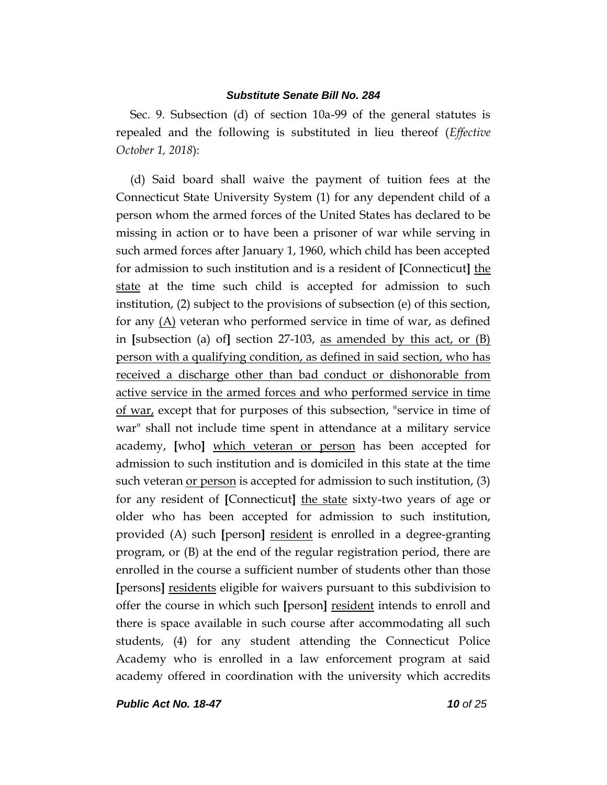Sec. 9. Subsection (d) of section 10a-99 of the general statutes is repealed and the following is substituted in lieu thereof (*Effective October 1, 2018*):

(d) Said board shall waive the payment of tuition fees at the Connecticut State University System (1) for any dependent child of a person whom the armed forces of the United States has declared to be missing in action or to have been a prisoner of war while serving in such armed forces after January 1, 1960, which child has been accepted for admission to such institution and is a resident of **[**Connecticut**]** the state at the time such child is accepted for admission to such institution, (2) subject to the provisions of subsection (e) of this section, for any (A) veteran who performed service in time of war, as defined in **[**subsection (a) of**]** section 27-103, as amended by this act, or (B) person with a qualifying condition, as defined in said section, who has received a discharge other than bad conduct or dishonorable from active service in the armed forces and who performed service in time of war, except that for purposes of this subsection, "service in time of war" shall not include time spent in attendance at a military service academy, **[**who**]** which veteran or person has been accepted for admission to such institution and is domiciled in this state at the time such veteran <u>or person</u> is accepted for admission to such institution, (3) for any resident of **[**Connecticut**]** the state sixty-two years of age or older who has been accepted for admission to such institution, provided (A) such **[**person**]** resident is enrolled in a degree-granting program, or (B) at the end of the regular registration period, there are enrolled in the course a sufficient number of students other than those **[**persons**]** residents eligible for waivers pursuant to this subdivision to offer the course in which such **[**person**]** resident intends to enroll and there is space available in such course after accommodating all such students, (4) for any student attending the Connecticut Police Academy who is enrolled in a law enforcement program at said academy offered in coordination with the university which accredits

*Public Act No. 18-47 10 of 25*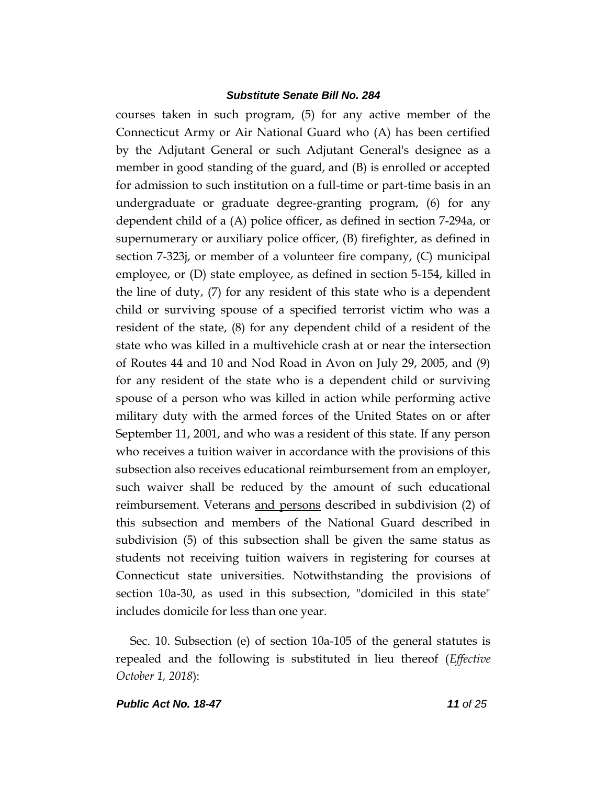courses taken in such program, (5) for any active member of the Connecticut Army or Air National Guard who (A) has been certified by the Adjutant General or such Adjutant General's designee as a member in good standing of the guard, and (B) is enrolled or accepted for admission to such institution on a full-time or part-time basis in an undergraduate or graduate degree-granting program, (6) for any dependent child of a (A) police officer, as defined in section 7-294a, or supernumerary or auxiliary police officer, (B) firefighter, as defined in section 7-323j, or member of a volunteer fire company, (C) municipal employee, or (D) state employee, as defined in section 5-154, killed in the line of duty, (7) for any resident of this state who is a dependent child or surviving spouse of a specified terrorist victim who was a resident of the state, (8) for any dependent child of a resident of the state who was killed in a multivehicle crash at or near the intersection of Routes 44 and 10 and Nod Road in Avon on July 29, 2005, and (9) for any resident of the state who is a dependent child or surviving spouse of a person who was killed in action while performing active military duty with the armed forces of the United States on or after September 11, 2001, and who was a resident of this state. If any person who receives a tuition waiver in accordance with the provisions of this subsection also receives educational reimbursement from an employer, such waiver shall be reduced by the amount of such educational reimbursement. Veterans and persons described in subdivision (2) of this subsection and members of the National Guard described in subdivision (5) of this subsection shall be given the same status as students not receiving tuition waivers in registering for courses at Connecticut state universities. Notwithstanding the provisions of section 10a-30, as used in this subsection, "domiciled in this state" includes domicile for less than one year.

Sec. 10. Subsection (e) of section 10a-105 of the general statutes is repealed and the following is substituted in lieu thereof (*Effective October 1, 2018*):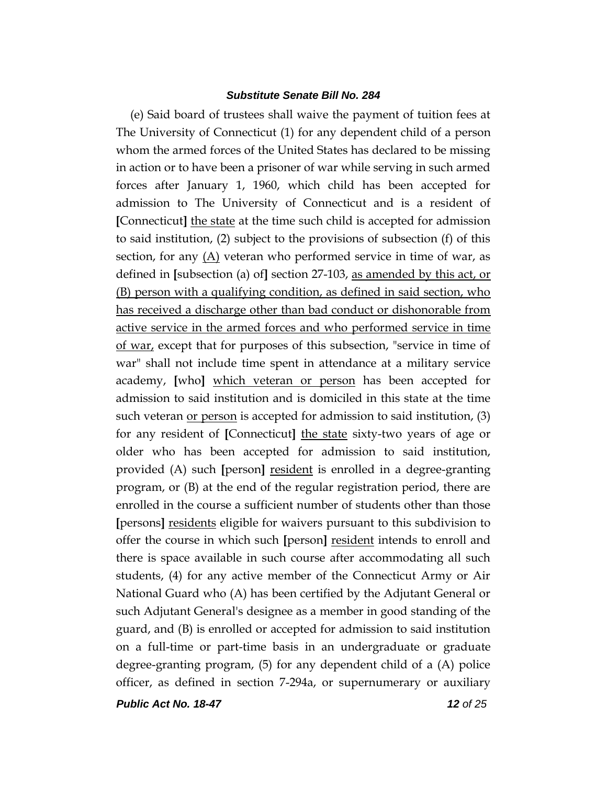(e) Said board of trustees shall waive the payment of tuition fees at The University of Connecticut (1) for any dependent child of a person whom the armed forces of the United States has declared to be missing in action or to have been a prisoner of war while serving in such armed forces after January 1, 1960, which child has been accepted for admission to The University of Connecticut and is a resident of **[**Connecticut**]** the state at the time such child is accepted for admission to said institution, (2) subject to the provisions of subsection (f) of this section, for any (A) veteran who performed service in time of war, as defined in **[**subsection (a) of**]** section 27-103, as amended by this act, or (B) person with a qualifying condition, as defined in said section, who has received a discharge other than bad conduct or dishonorable from active service in the armed forces and who performed service in time of war, except that for purposes of this subsection, "service in time of war" shall not include time spent in attendance at a military service academy, **[**who**]** which veteran or person has been accepted for admission to said institution and is domiciled in this state at the time such veteran or person is accepted for admission to said institution, (3) for any resident of **[**Connecticut**]** the state sixty-two years of age or older who has been accepted for admission to said institution, provided (A) such **[**person**]** resident is enrolled in a degree-granting program, or (B) at the end of the regular registration period, there are enrolled in the course a sufficient number of students other than those **[**persons**]** residents eligible for waivers pursuant to this subdivision to offer the course in which such **[**person**]** resident intends to enroll and there is space available in such course after accommodating all such students, (4) for any active member of the Connecticut Army or Air National Guard who (A) has been certified by the Adjutant General or such Adjutant General's designee as a member in good standing of the guard, and (B) is enrolled or accepted for admission to said institution on a full-time or part-time basis in an undergraduate or graduate degree-granting program, (5) for any dependent child of a (A) police officer, as defined in section 7-294a, or supernumerary or auxiliary

*Public Act No. 18-47 12 of 25*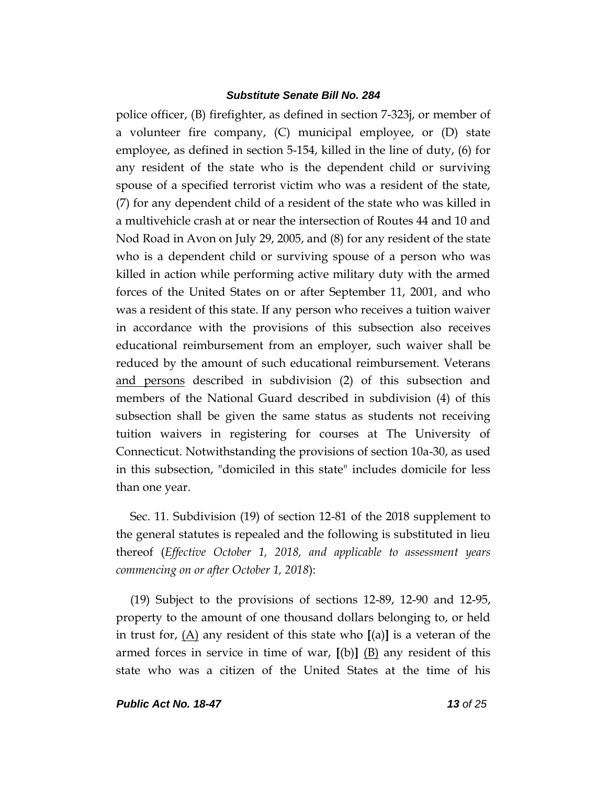police officer, (B) firefighter, as defined in section 7-323j, or member of a volunteer fire company, (C) municipal employee, or (D) state employee, as defined in section 5-154, killed in the line of duty, (6) for any resident of the state who is the dependent child or surviving spouse of a specified terrorist victim who was a resident of the state, (7) for any dependent child of a resident of the state who was killed in a multivehicle crash at or near the intersection of Routes 44 and 10 and Nod Road in Avon on July 29, 2005, and (8) for any resident of the state who is a dependent child or surviving spouse of a person who was killed in action while performing active military duty with the armed forces of the United States on or after September 11, 2001, and who was a resident of this state. If any person who receives a tuition waiver in accordance with the provisions of this subsection also receives educational reimbursement from an employer, such waiver shall be reduced by the amount of such educational reimbursement. Veterans and persons described in subdivision (2) of this subsection and members of the National Guard described in subdivision (4) of this subsection shall be given the same status as students not receiving tuition waivers in registering for courses at The University of Connecticut. Notwithstanding the provisions of section 10a-30, as used in this subsection, "domiciled in this state" includes domicile for less than one year.

Sec. 11. Subdivision (19) of section 12-81 of the 2018 supplement to the general statutes is repealed and the following is substituted in lieu thereof (*Effective October 1, 2018, and applicable to assessment years commencing on or after October 1, 2018*):

(19) Subject to the provisions of sections 12-89, 12-90 and 12-95, property to the amount of one thousand dollars belonging to, or held in trust for, (A) any resident of this state who **[**(a)**]** is a veteran of the armed forces in service in time of war,  $[(b)]$   $(B)$  any resident of this state who was a citizen of the United States at the time of his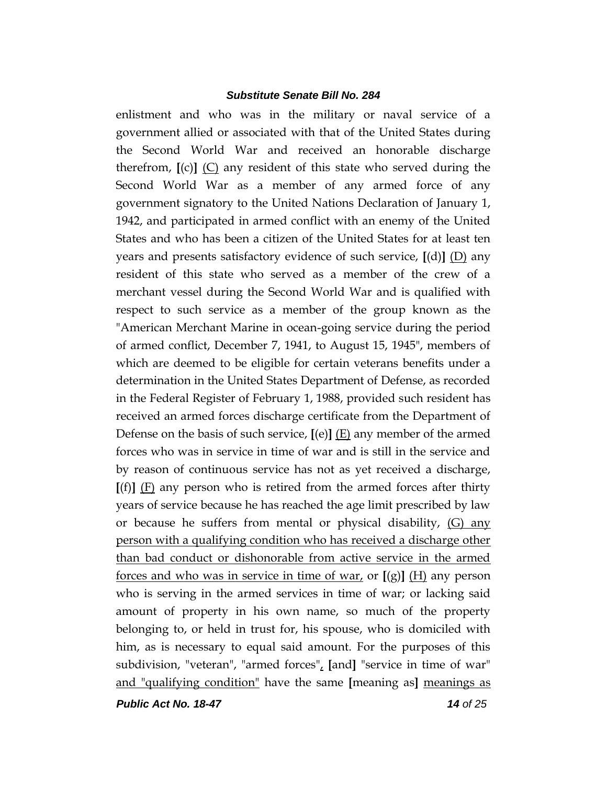enlistment and who was in the military or naval service of a government allied or associated with that of the United States during the Second World War and received an honorable discharge therefrom, **[**(c)**]** (C) any resident of this state who served during the Second World War as a member of any armed force of any government signatory to the United Nations Declaration of January 1, 1942, and participated in armed conflict with an enemy of the United States and who has been a citizen of the United States for at least ten years and presents satisfactory evidence of such service, **[**(d)**]** (D) any resident of this state who served as a member of the crew of a merchant vessel during the Second World War and is qualified with respect to such service as a member of the group known as the "American Merchant Marine in ocean-going service during the period of armed conflict, December 7, 1941, to August 15, 1945", members of which are deemed to be eligible for certain veterans benefits under a determination in the United States Department of Defense, as recorded in the Federal Register of February 1, 1988, provided such resident has received an armed forces discharge certificate from the Department of Defense on the basis of such service, **[**(e)**]** (E) any member of the armed forces who was in service in time of war and is still in the service and by reason of continuous service has not as yet received a discharge,  $[(f)]$   $(F)$  any person who is retired from the armed forces after thirty years of service because he has reached the age limit prescribed by law or because he suffers from mental or physical disability, (G) any person with a qualifying condition who has received a discharge other than bad conduct or dishonorable from active service in the armed forces and who was in service in time of war, or  $[(g)]$   $(H)$  any person who is serving in the armed services in time of war; or lacking said amount of property in his own name, so much of the property belonging to, or held in trust for, his spouse, who is domiciled with him, as is necessary to equal said amount. For the purposes of this subdivision, "veteran", "armed forces", **[**and**]** "service in time of war" and "qualifying condition" have the same **[**meaning as**]** meanings as

*Public Act No. 18-47 14 of 25*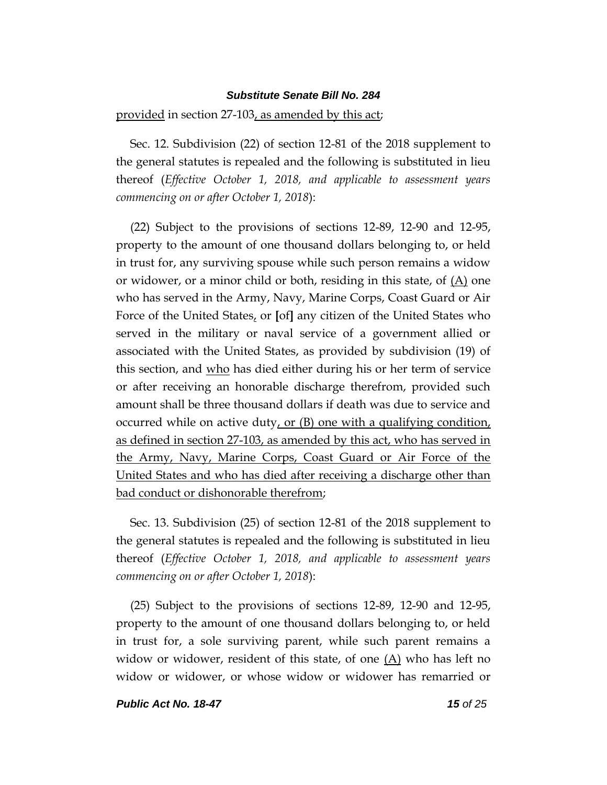provided in section 27-103, as amended by this act;

Sec. 12. Subdivision (22) of section 12-81 of the 2018 supplement to the general statutes is repealed and the following is substituted in lieu thereof (*Effective October 1, 2018, and applicable to assessment years commencing on or after October 1, 2018*):

(22) Subject to the provisions of sections 12-89, 12-90 and 12-95, property to the amount of one thousand dollars belonging to, or held in trust for, any surviving spouse while such person remains a widow or widower, or a minor child or both, residing in this state, of  $(A)$  one who has served in the Army, Navy, Marine Corps, Coast Guard or Air Force of the United States, or **[**of**]** any citizen of the United States who served in the military or naval service of a government allied or associated with the United States, as provided by subdivision (19) of this section, and who has died either during his or her term of service or after receiving an honorable discharge therefrom, provided such amount shall be three thousand dollars if death was due to service and occurred while on active duty, or  $(B)$  one with a qualifying condition, as defined in section 27-103, as amended by this act, who has served in the Army, Navy, Marine Corps, Coast Guard or Air Force of the United States and who has died after receiving a discharge other than bad conduct or dishonorable therefrom;

Sec. 13. Subdivision (25) of section 12-81 of the 2018 supplement to the general statutes is repealed and the following is substituted in lieu thereof (*Effective October 1, 2018, and applicable to assessment years commencing on or after October 1, 2018*):

(25) Subject to the provisions of sections 12-89, 12-90 and 12-95, property to the amount of one thousand dollars belonging to, or held in trust for, a sole surviving parent, while such parent remains a widow or widower, resident of this state, of one  $(A)$  who has left no widow or widower, or whose widow or widower has remarried or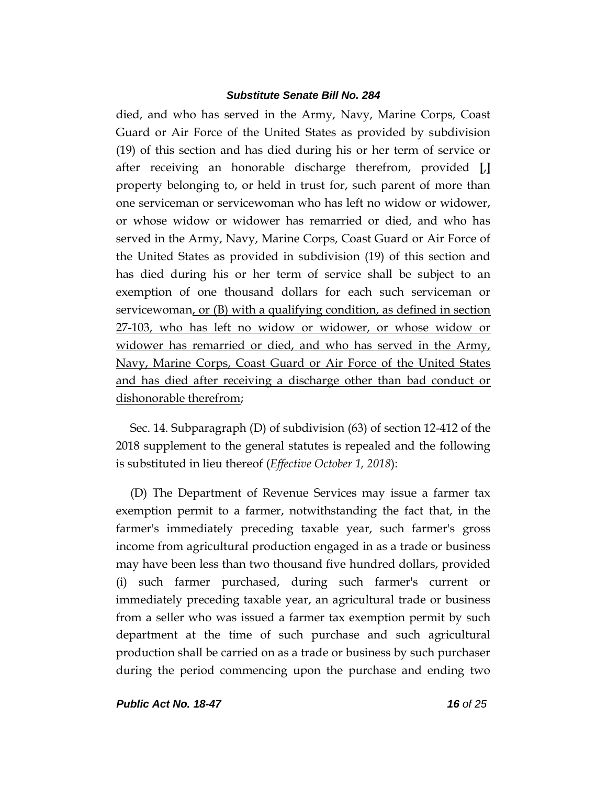died, and who has served in the Army, Navy, Marine Corps, Coast Guard or Air Force of the United States as provided by subdivision (19) of this section and has died during his or her term of service or after receiving an honorable discharge therefrom, provided **[**,**]** property belonging to, or held in trust for, such parent of more than one serviceman or servicewoman who has left no widow or widower, or whose widow or widower has remarried or died, and who has served in the Army, Navy, Marine Corps, Coast Guard or Air Force of the United States as provided in subdivision (19) of this section and has died during his or her term of service shall be subject to an exemption of one thousand dollars for each such serviceman or servicewoman, or (B) with a qualifying condition, as defined in section 27-103, who has left no widow or widower, or whose widow or widower has remarried or died, and who has served in the Army, Navy, Marine Corps, Coast Guard or Air Force of the United States and has died after receiving a discharge other than bad conduct or dishonorable therefrom;

Sec. 14. Subparagraph (D) of subdivision (63) of section 12-412 of the 2018 supplement to the general statutes is repealed and the following is substituted in lieu thereof (*Effective October 1, 2018*):

(D) The Department of Revenue Services may issue a farmer tax exemption permit to a farmer, notwithstanding the fact that, in the farmer's immediately preceding taxable year, such farmer's gross income from agricultural production engaged in as a trade or business may have been less than two thousand five hundred dollars, provided (i) such farmer purchased, during such farmer's current or immediately preceding taxable year, an agricultural trade or business from a seller who was issued a farmer tax exemption permit by such department at the time of such purchase and such agricultural production shall be carried on as a trade or business by such purchaser during the period commencing upon the purchase and ending two

*Public Act No. 18-47 16 of 25*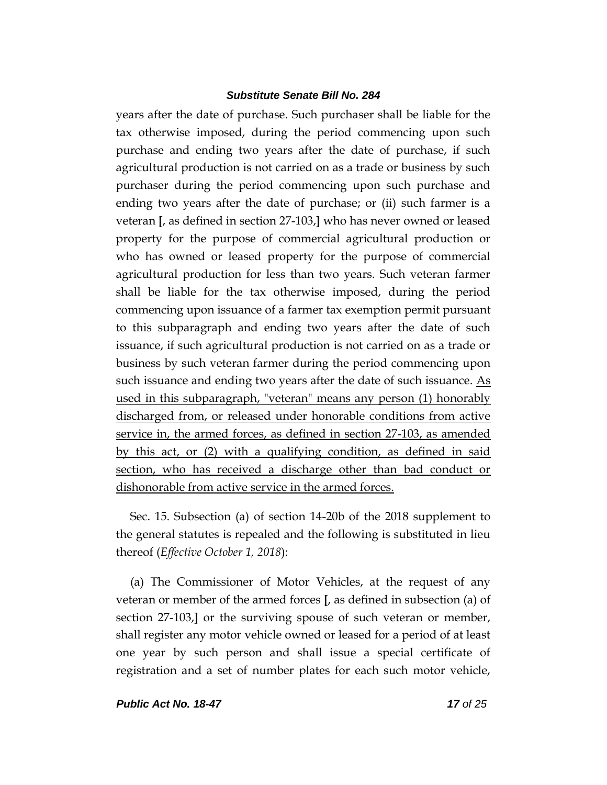years after the date of purchase. Such purchaser shall be liable for the tax otherwise imposed, during the period commencing upon such purchase and ending two years after the date of purchase, if such agricultural production is not carried on as a trade or business by such purchaser during the period commencing upon such purchase and ending two years after the date of purchase; or (ii) such farmer is a veteran **[**, as defined in section 27-103,**]** who has never owned or leased property for the purpose of commercial agricultural production or who has owned or leased property for the purpose of commercial agricultural production for less than two years. Such veteran farmer shall be liable for the tax otherwise imposed, during the period commencing upon issuance of a farmer tax exemption permit pursuant to this subparagraph and ending two years after the date of such issuance, if such agricultural production is not carried on as a trade or business by such veteran farmer during the period commencing upon such issuance and ending two years after the date of such issuance. As used in this subparagraph, "veteran" means any person (1) honorably discharged from, or released under honorable conditions from active service in, the armed forces, as defined in section 27-103, as amended by this act, or (2) with a qualifying condition, as defined in said section, who has received a discharge other than bad conduct or dishonorable from active service in the armed forces.

Sec. 15. Subsection (a) of section 14-20b of the 2018 supplement to the general statutes is repealed and the following is substituted in lieu thereof (*Effective October 1, 2018*):

(a) The Commissioner of Motor Vehicles, at the request of any veteran or member of the armed forces **[**, as defined in subsection (a) of section 27-103,**]** or the surviving spouse of such veteran or member, shall register any motor vehicle owned or leased for a period of at least one year by such person and shall issue a special certificate of registration and a set of number plates for each such motor vehicle,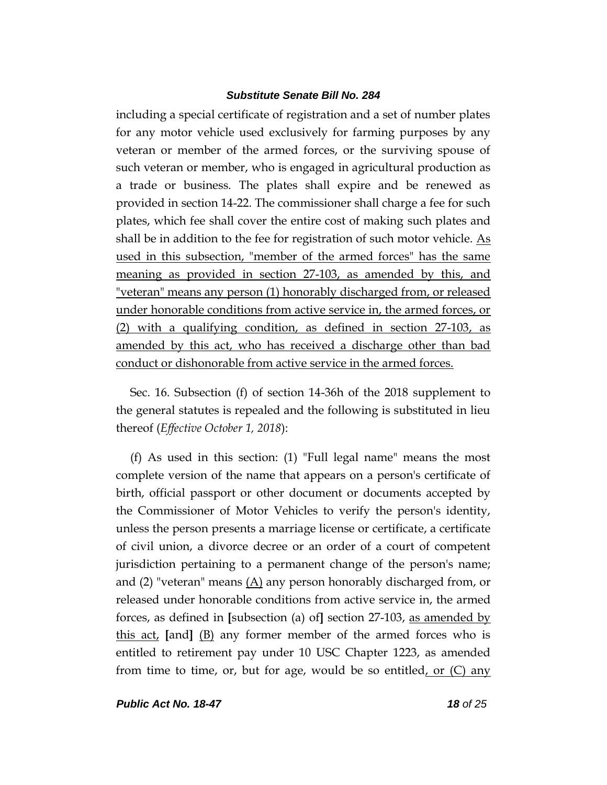including a special certificate of registration and a set of number plates for any motor vehicle used exclusively for farming purposes by any veteran or member of the armed forces, or the surviving spouse of such veteran or member, who is engaged in agricultural production as a trade or business. The plates shall expire and be renewed as provided in section 14-22. The commissioner shall charge a fee for such plates, which fee shall cover the entire cost of making such plates and shall be in addition to the fee for registration of such motor vehicle.  $\underline{As}$ used in this subsection, "member of the armed forces" has the same meaning as provided in section 27-103, as amended by this, and "veteran" means any person (1) honorably discharged from, or released under honorable conditions from active service in, the armed forces, or (2) with a qualifying condition, as defined in section 27-103, as amended by this act, who has received a discharge other than bad conduct or dishonorable from active service in the armed forces.

Sec. 16. Subsection (f) of section 14-36h of the 2018 supplement to the general statutes is repealed and the following is substituted in lieu thereof (*Effective October 1, 2018*):

(f) As used in this section: (1) "Full legal name" means the most complete version of the name that appears on a person's certificate of birth, official passport or other document or documents accepted by the Commissioner of Motor Vehicles to verify the person's identity, unless the person presents a marriage license or certificate, a certificate of civil union, a divorce decree or an order of a court of competent jurisdiction pertaining to a permanent change of the person's name; and (2) "veteran" means  $(A)$  any person honorably discharged from, or released under honorable conditions from active service in, the armed forces, as defined in **[**subsection (a) of**]** section 27-103, as amended by this act, **[**and**]** (B) any former member of the armed forces who is entitled to retirement pay under 10 USC Chapter 1223, as amended from time to time, or, but for age, would be so entitled, or  $(C)$  any

*Public Act No. 18-47 18 of 25*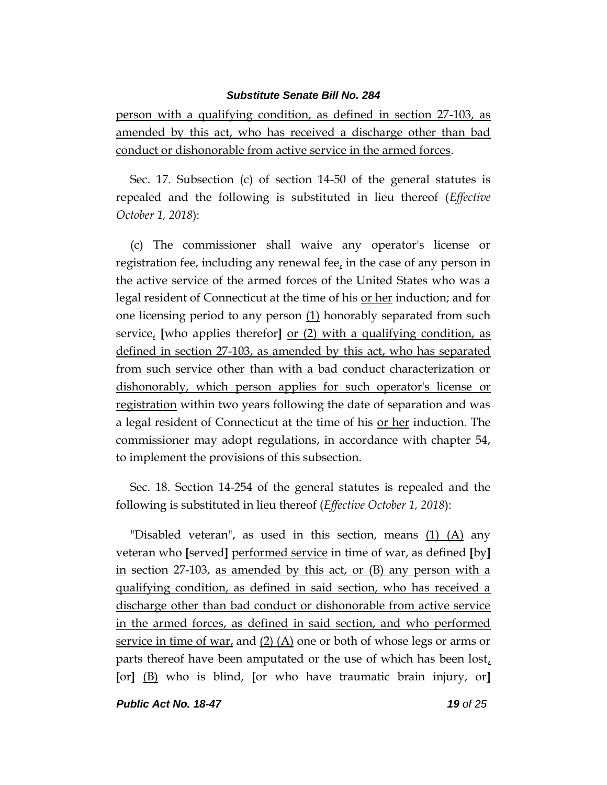person with a qualifying condition, as defined in section 27-103, as amended by this act, who has received a discharge other than bad conduct or dishonorable from active service in the armed forces.

Sec. 17. Subsection (c) of section 14-50 of the general statutes is repealed and the following is substituted in lieu thereof (*Effective October 1, 2018*):

(c) The commissioner shall waive any operator's license or registration fee, including any renewal fee, in the case of any person in the active service of the armed forces of the United States who was a legal resident of Connecticut at the time of his <u>or her</u> induction; and for one licensing period to any person (1) honorably separated from such service, **[**who applies therefor**]** or (2) with a qualifying condition, as defined in section 27-103, as amended by this act, who has separated from such service other than with a bad conduct characterization or dishonorably, which person applies for such operator's license or registration within two years following the date of separation and was a legal resident of Connecticut at the time of his <u>or her</u> induction. The commissioner may adopt regulations, in accordance with chapter 54, to implement the provisions of this subsection.

Sec. 18. Section 14-254 of the general statutes is repealed and the following is substituted in lieu thereof (*Effective October 1, 2018*):

"Disabled veteran", as used in this section, means  $(1)$   $(A)$  any veteran who **[**served**]** performed service in time of war, as defined **[**by**]** in section 27-103, as amended by this act, or (B) any person with a qualifying condition, as defined in said section, who has received a discharge other than bad conduct or dishonorable from active service in the armed forces, as defined in said section, and who performed service in time of war, and  $(2)$  (A) one or both of whose legs or arms or parts thereof have been amputated or the use of which has been  $\text{lost}_t$ **[**or**]** (B) who is blind, **[**or who have traumatic brain injury, or**]**

*Public Act No. 18-47 19 of 25*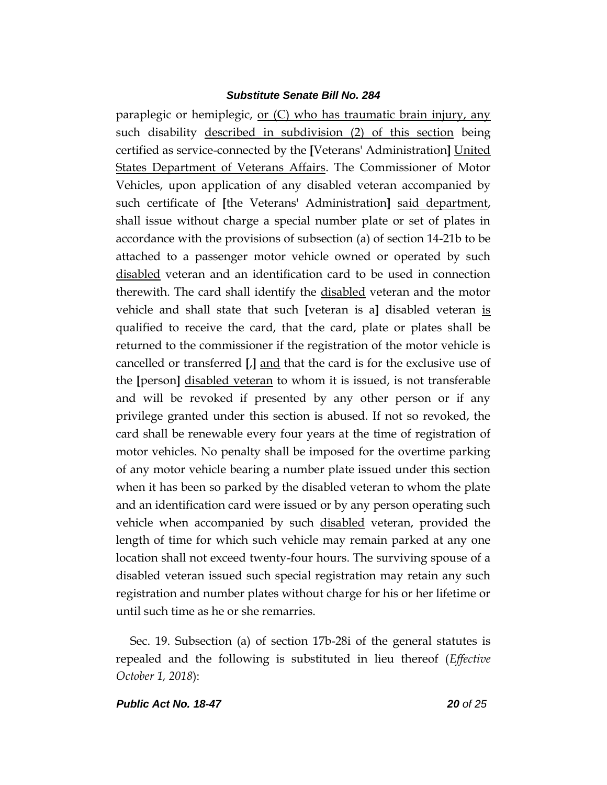paraplegic or hemiplegic, or (C) who has traumatic brain injury, any such disability described in subdivision (2) of this section being certified as service-connected by the **[**Veterans' Administration**]** United States Department of Veterans Affairs. The Commissioner of Motor Vehicles, upon application of any disabled veteran accompanied by such certificate of **[**the Veterans' Administration**]** said department, shall issue without charge a special number plate or set of plates in accordance with the provisions of subsection (a) of section 14-21b to be attached to a passenger motor vehicle owned or operated by such disabled veteran and an identification card to be used in connection therewith. The card shall identify the disabled veteran and the motor vehicle and shall state that such **[**veteran is a**]** disabled veteran is qualified to receive the card, that the card, plate or plates shall be returned to the commissioner if the registration of the motor vehicle is cancelled or transferred **[**,**]** and that the card is for the exclusive use of the **[**person**]** disabled veteran to whom it is issued, is not transferable and will be revoked if presented by any other person or if any privilege granted under this section is abused. If not so revoked, the card shall be renewable every four years at the time of registration of motor vehicles. No penalty shall be imposed for the overtime parking of any motor vehicle bearing a number plate issued under this section when it has been so parked by the disabled veteran to whom the plate and an identification card were issued or by any person operating such vehicle when accompanied by such disabled veteran, provided the length of time for which such vehicle may remain parked at any one location shall not exceed twenty-four hours. The surviving spouse of a disabled veteran issued such special registration may retain any such registration and number plates without charge for his or her lifetime or until such time as he or she remarries.

Sec. 19. Subsection (a) of section 17b-28i of the general statutes is repealed and the following is substituted in lieu thereof (*Effective October 1, 2018*):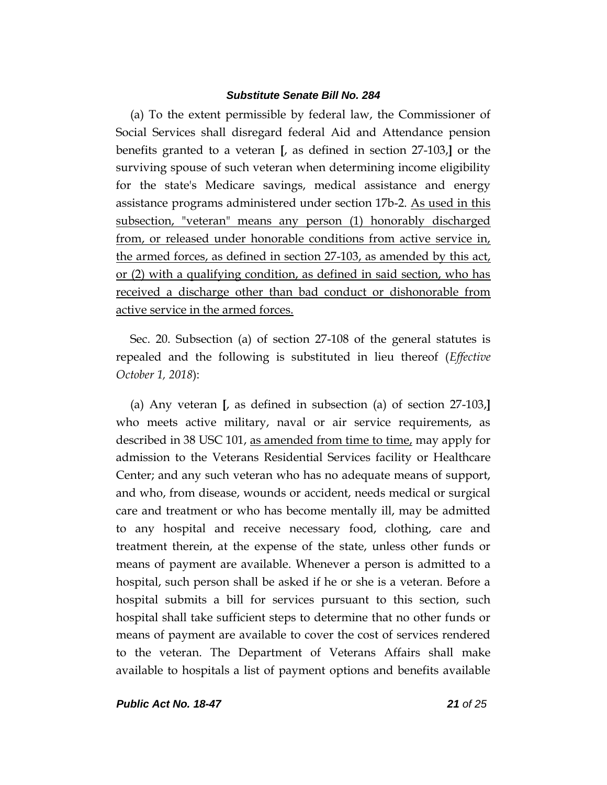(a) To the extent permissible by federal law, the Commissioner of Social Services shall disregard federal Aid and Attendance pension benefits granted to a veteran **[**, as defined in section 27-103,**]** or the surviving spouse of such veteran when determining income eligibility for the state's Medicare savings, medical assistance and energy assistance programs administered under section 17b-2. As used in this subsection, "veteran" means any person (1) honorably discharged from, or released under honorable conditions from active service in, the armed forces, as defined in section 27-103, as amended by this act, or (2) with a qualifying condition, as defined in said section, who has received a discharge other than bad conduct or dishonorable from active service in the armed forces.

Sec. 20. Subsection (a) of section 27-108 of the general statutes is repealed and the following is substituted in lieu thereof (*Effective October 1, 2018*):

(a) Any veteran **[**, as defined in subsection (a) of section 27-103,**]** who meets active military, naval or air service requirements, as described in 38 USC 101, as amended from time to time, may apply for admission to the Veterans Residential Services facility or Healthcare Center; and any such veteran who has no adequate means of support, and who, from disease, wounds or accident, needs medical or surgical care and treatment or who has become mentally ill, may be admitted to any hospital and receive necessary food, clothing, care and treatment therein, at the expense of the state, unless other funds or means of payment are available. Whenever a person is admitted to a hospital, such person shall be asked if he or she is a veteran. Before a hospital submits a bill for services pursuant to this section, such hospital shall take sufficient steps to determine that no other funds or means of payment are available to cover the cost of services rendered to the veteran. The Department of Veterans Affairs shall make available to hospitals a list of payment options and benefits available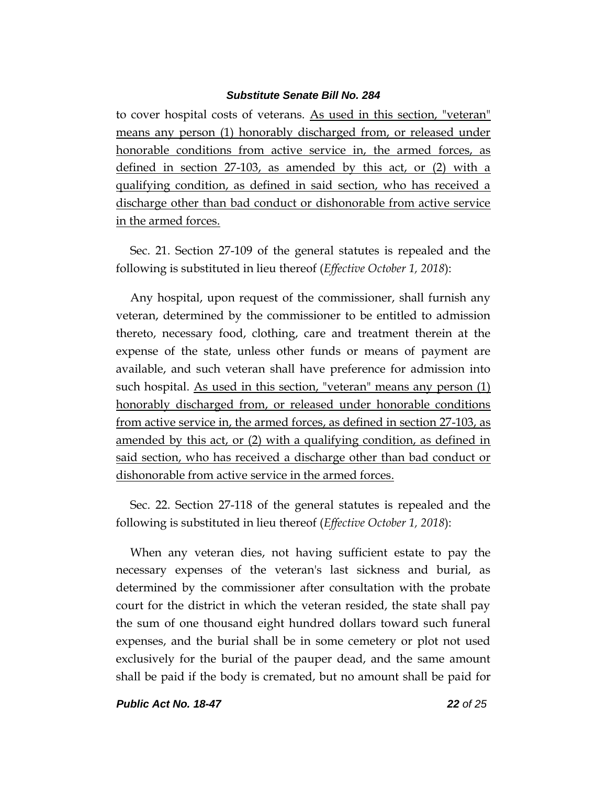to cover hospital costs of veterans. As used in this section, "veteran" means any person (1) honorably discharged from, or released under honorable conditions from active service in, the armed forces, as defined in section 27-103, as amended by this act, or (2) with a qualifying condition, as defined in said section, who has received a discharge other than bad conduct or dishonorable from active service in the armed forces.

Sec. 21. Section 27-109 of the general statutes is repealed and the following is substituted in lieu thereof (*Effective October 1, 2018*):

Any hospital, upon request of the commissioner, shall furnish any veteran, determined by the commissioner to be entitled to admission thereto, necessary food, clothing, care and treatment therein at the expense of the state, unless other funds or means of payment are available, and such veteran shall have preference for admission into such hospital. As used in this section, "veteran" means any person (1) honorably discharged from, or released under honorable conditions from active service in, the armed forces, as defined in section 27-103, as amended by this act, or (2) with a qualifying condition, as defined in said section, who has received a discharge other than bad conduct or dishonorable from active service in the armed forces.

Sec. 22. Section 27-118 of the general statutes is repealed and the following is substituted in lieu thereof (*Effective October 1, 2018*):

When any veteran dies, not having sufficient estate to pay the necessary expenses of the veteran's last sickness and burial, as determined by the commissioner after consultation with the probate court for the district in which the veteran resided, the state shall pay the sum of one thousand eight hundred dollars toward such funeral expenses, and the burial shall be in some cemetery or plot not used exclusively for the burial of the pauper dead, and the same amount shall be paid if the body is cremated, but no amount shall be paid for

*Public Act No. 18-47 22 of 25*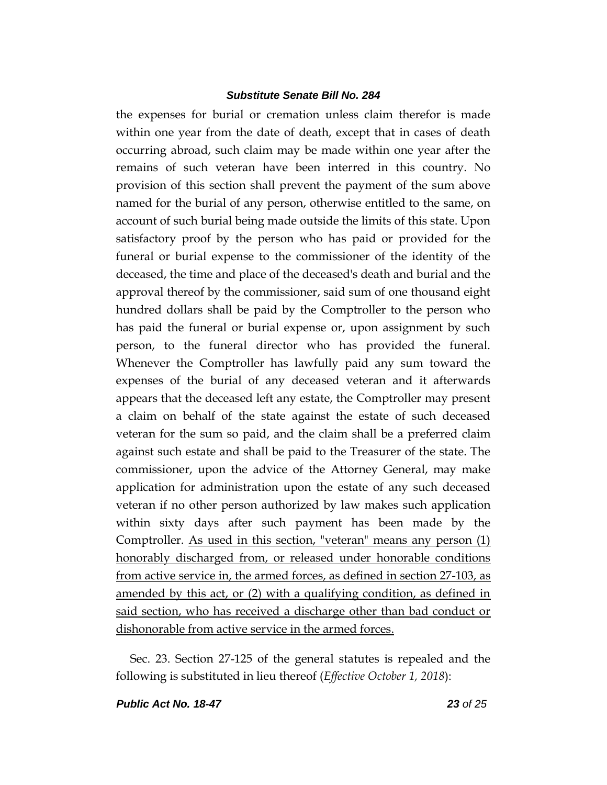the expenses for burial or cremation unless claim therefor is made within one year from the date of death, except that in cases of death occurring abroad, such claim may be made within one year after the remains of such veteran have been interred in this country. No provision of this section shall prevent the payment of the sum above named for the burial of any person, otherwise entitled to the same, on account of such burial being made outside the limits of this state. Upon satisfactory proof by the person who has paid or provided for the funeral or burial expense to the commissioner of the identity of the deceased, the time and place of the deceased's death and burial and the approval thereof by the commissioner, said sum of one thousand eight hundred dollars shall be paid by the Comptroller to the person who has paid the funeral or burial expense or, upon assignment by such person, to the funeral director who has provided the funeral. Whenever the Comptroller has lawfully paid any sum toward the expenses of the burial of any deceased veteran and it afterwards appears that the deceased left any estate, the Comptroller may present a claim on behalf of the state against the estate of such deceased veteran for the sum so paid, and the claim shall be a preferred claim against such estate and shall be paid to the Treasurer of the state. The commissioner, upon the advice of the Attorney General, may make application for administration upon the estate of any such deceased veteran if no other person authorized by law makes such application within sixty days after such payment has been made by the Comptroller. As used in this section, "veteran" means any person (1) honorably discharged from, or released under honorable conditions from active service in, the armed forces, as defined in section 27-103, as amended by this act, or (2) with a qualifying condition, as defined in said section, who has received a discharge other than bad conduct or dishonorable from active service in the armed forces.

Sec. 23. Section 27-125 of the general statutes is repealed and the following is substituted in lieu thereof (*Effective October 1, 2018*):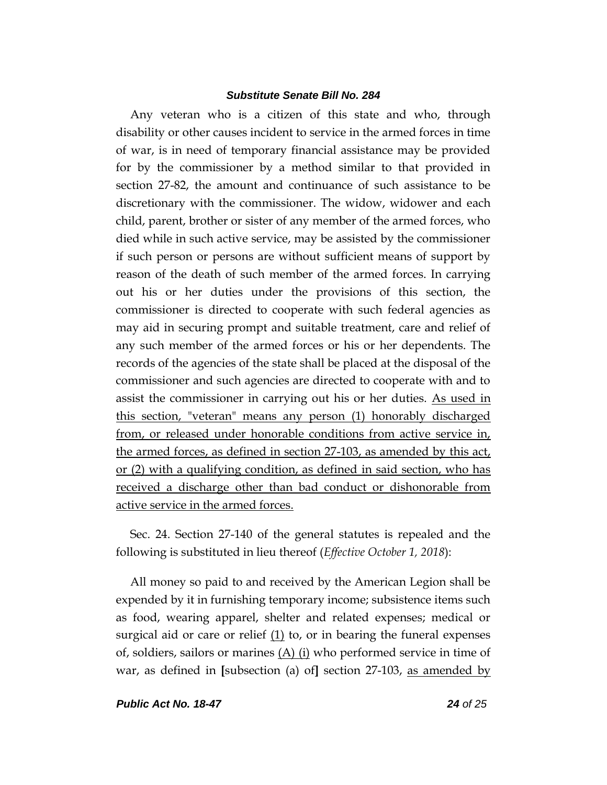Any veteran who is a citizen of this state and who, through disability or other causes incident to service in the armed forces in time of war, is in need of temporary financial assistance may be provided for by the commissioner by a method similar to that provided in section 27-82, the amount and continuance of such assistance to be discretionary with the commissioner. The widow, widower and each child, parent, brother or sister of any member of the armed forces, who died while in such active service, may be assisted by the commissioner if such person or persons are without sufficient means of support by reason of the death of such member of the armed forces. In carrying out his or her duties under the provisions of this section, the commissioner is directed to cooperate with such federal agencies as may aid in securing prompt and suitable treatment, care and relief of any such member of the armed forces or his or her dependents. The records of the agencies of the state shall be placed at the disposal of the commissioner and such agencies are directed to cooperate with and to assist the commissioner in carrying out his or her duties. As used in this section, "veteran" means any person (1) honorably discharged from, or released under honorable conditions from active service in, the armed forces, as defined in section 27-103, as amended by this act, or (2) with a qualifying condition, as defined in said section, who has received a discharge other than bad conduct or dishonorable from active service in the armed forces.

Sec. 24. Section 27-140 of the general statutes is repealed and the following is substituted in lieu thereof (*Effective October 1, 2018*):

All money so paid to and received by the American Legion shall be expended by it in furnishing temporary income; subsistence items such as food, wearing apparel, shelter and related expenses; medical or surgical aid or care or relief  $(1)$  to, or in bearing the funeral expenses of, soldiers, sailors or marines  $(A)$  (i) who performed service in time of war, as defined in **[**subsection (a) of**]** section 27-103, as amended by